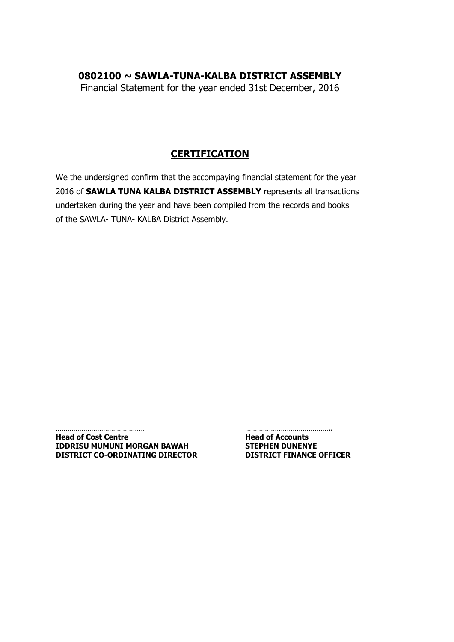### **0802100 ~ SAWLA-TUNA-KALBA DISTRICT ASSEMBLY**

Financial Statement for the year ended 31st December, 2016

# **CERTIFICATION**

We the undersigned confirm that the accompaying financial statement for the year 2016 of **SAWLA TUNA KALBA DISTRICT ASSEMBLY** represents all transactions undertaken during the year and have been compiled from the records and books of the SAWLA- TUNA- KALBA District Assembly.

……………………………………… …………………………………….. **Head of Cost Centre Head of Accounts IDDRISU MUMUNI MORGAN BAWAH STEPHEN DUNENYE DISTRICT CO-ORDINATING DIRECTOR DISTRICT FINANCE OFFICER**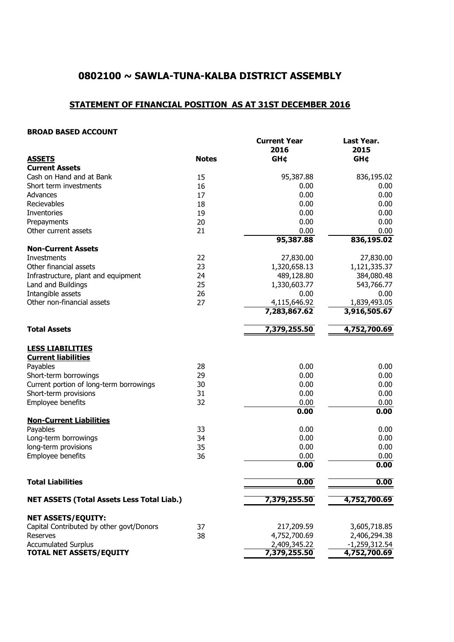### **0802100 ~ SAWLA-TUNA-KALBA DISTRICT ASSEMBLY**

# **STATEMENT OF FINANCIAL POSITION AS AT 31ST DECEMBER 2016**

#### **BROAD BASED ACCOUNT**

|                                                   |              | <b>Current Year</b><br>2016 | Last Year.<br>2015 |
|---------------------------------------------------|--------------|-----------------------------|--------------------|
| <b>ASSETS</b>                                     | <b>Notes</b> | <b>GH¢</b>                  | <b>GH¢</b>         |
| <b>Current Assets</b>                             |              |                             |                    |
| Cash on Hand and at Bank                          | 15           | 95,387.88                   | 836,195.02         |
| Short term investments                            | 16           | 0.00                        | 0.00               |
| Advances                                          | 17           | 0.00                        | 0.00               |
| Recievables                                       | 18           | 0.00                        | 0.00               |
| Inventories                                       | 19           | 0.00                        | 0.00               |
| Prepayments                                       | 20           | 0.00                        | 0.00               |
| Other current assets                              | 21           | 0.00                        | 0.00               |
|                                                   |              | 95,387.88                   | 836,195.02         |
| <b>Non-Current Assets</b>                         |              |                             |                    |
| Investments                                       | 22           | 27,830.00                   | 27,830.00          |
| Other financial assets                            | 23           | 1,320,658.13                | 1,121,335.37       |
| Infrastructure, plant and equipment               | 24           | 489,128.80                  | 384,080.48         |
| Land and Buildings                                | 25           | 1,330,603.77                | 543,766.77         |
| Intangible assets                                 | 26           | 0.00                        | 0.00               |
| Other non-financial assets                        | 27           | 4,115,646.92                | 1,839,493.05       |
|                                                   |              | 7,283,867.62                | 3,916,505.67       |
| <b>Total Assets</b>                               |              | 7,379,255.50                | 4,752,700.69       |
| <b>LESS LIABILITIES</b>                           |              |                             |                    |
| <b>Current liabilities</b>                        |              |                             |                    |
| Payables                                          | 28           | 0.00                        | 0.00               |
| Short-term borrowings                             | 29           | 0.00                        | 0.00               |
| Current portion of long-term borrowings           | 30           | 0.00                        | 0.00               |
| Short-term provisions                             | 31           | 0.00                        | 0.00               |
| Employee benefits                                 | 32           | 0.00                        | 0.00               |
|                                                   |              | 0.00                        | 0.00               |
| <b>Non-Current Liabilities</b>                    |              |                             |                    |
| Payables                                          | 33           | 0.00                        | 0.00               |
| Long-term borrowings                              | 34           | 0.00                        | 0.00               |
| long-term provisions                              | 35           | 0.00                        | 0.00               |
| Employee benefits                                 | 36           | 0.00                        | 0.00               |
|                                                   |              | 0.00                        | 0.00               |
| <b>Total Liabilities</b>                          |              | 0.00                        | 0.00               |
| <b>NET ASSETS (Total Assets Less Total Liab.)</b> |              | 7,379,255.50                | 4,752,700.69       |
| <b>NET ASSETS/EQUITY:</b>                         |              |                             |                    |
| Capital Contributed by other govt/Donors          | 37           | 217,209.59                  | 3,605,718.85       |
| Reserves                                          | 38           | 4,752,700.69                | 2,406,294.38       |
| <b>Accumulated Surplus</b>                        |              | 2,409,345.22                | $-1,259,312.54$    |
| TOTAL NET ASSETS/EQUITY                           |              | 7,379,255.50                | 4,752,700.69       |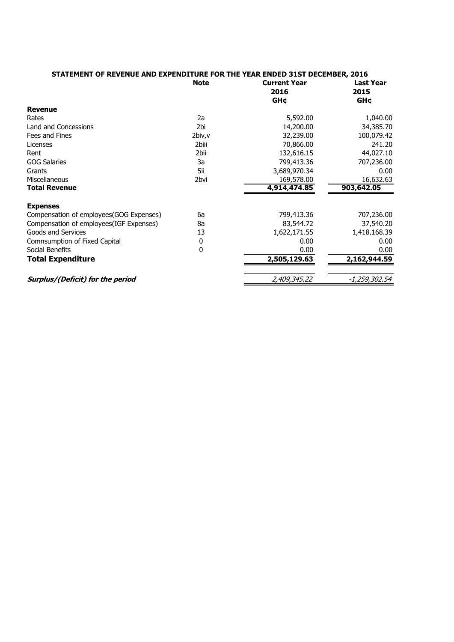| STATEMENT OF REVENUE AND EXPENDITURE FOR THE YEAR ENDED 31ST DECEMBER, 2016 |             |                     |                  |
|-----------------------------------------------------------------------------|-------------|---------------------|------------------|
|                                                                             | <b>Note</b> | <b>Current Year</b> | <b>Last Year</b> |
|                                                                             |             | 2016                | 2015             |
|                                                                             |             | <b>GH¢</b>          | <b>GH¢</b>       |
| <b>Revenue</b>                                                              |             |                     |                  |
| Rates                                                                       | 2a          | 5,592.00            | 1,040.00         |
| Land and Concessions                                                        | 2bi         | 14,200.00           | 34,385.70        |
| Fees and Fines                                                              | 2biv, v     | 32,239.00           | 100,079.42       |
| Licenses                                                                    | 2biii       | 70,866.00           | 241.20           |
| Rent                                                                        | 2bii        | 132,616.15          | 44,027.10        |
| <b>GOG Salaries</b>                                                         | 3a          | 799,413.36          | 707,236.00       |
| Grants                                                                      | 5ii         | 3,689,970.34        | 0.00             |
| <b>Miscellaneous</b>                                                        | 2bvi        | 169,578.00          | 16,632.63        |
| <b>Total Revenue</b>                                                        |             | 4,914,474.85        | 903,642.05       |
| <b>Expenses</b>                                                             |             |                     |                  |
| Compensation of employees(GOG Expenses)                                     | 6a          | 799,413.36          | 707,236.00       |
| Compensation of employees(IGF Expenses)                                     | 8a          | 83,544.72           | 37,540.20        |
| Goods and Services                                                          | 13          | 1,622,171.55        | 1,418,168.39     |
| Comnsumption of Fixed Capital                                               | 0           | 0.00                | 0.00             |
| Social Benefits                                                             | 0           | 0.00                | 0.00             |
| <b>Total Expenditure</b>                                                    |             | 2,505,129.63        | 2,162,944.59     |
| Surplus/(Deficit) for the period                                            |             | 2,409,345.22        | -1,259,302.54    |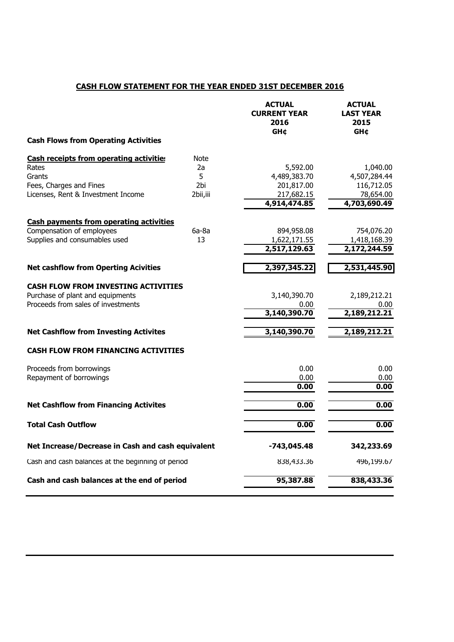### **CASH FLOW STATEMENT FOR THE YEAR ENDED 31ST DECEMBER 2016**

|                                                         |                   | <b>ACTUAL</b><br><b>CURRENT YEAR</b><br>2016<br><b>GH¢</b> | <b>ACTUAL</b><br><b>LAST YEAR</b><br>2015<br><b>GH¢</b> |
|---------------------------------------------------------|-------------------|------------------------------------------------------------|---------------------------------------------------------|
| <b>Cash Flows from Operating Activities</b>             |                   |                                                            |                                                         |
| <b>Cash receipts from operating activities</b><br>Rates | <b>Note</b><br>2a | 5,592.00                                                   | 1,040.00                                                |
| Grants                                                  | 5                 | 4,489,383.70                                               | 4,507,284.44                                            |
| Fees, Charges and Fines                                 | 2bi               | 201,817.00                                                 | 116,712.05                                              |
| Licenses, Rent & Investment Income                      | 2bii, iii         | 217,682.15                                                 | 78,654.00                                               |
|                                                         |                   | 4,914,474.85                                               | 4,703,690.49                                            |
| <b>Cash payments from operating activities</b>          |                   |                                                            |                                                         |
| Compensation of employees                               | $6a-8a$           | 894,958.08                                                 | 754,076.20                                              |
| Supplies and consumables used                           | 13                | 1,622,171.55                                               | 1,418,168.39                                            |
|                                                         |                   | 2,517,129.63                                               | 2,172,244.59                                            |
| <b>Net cashflow from Operting Acivities</b>             |                   | 2,397,345.22                                               | 2,531,445.90                                            |
| <b>CASH FLOW FROM INVESTING ACTIVITIES</b>              |                   |                                                            |                                                         |
| Purchase of plant and equipments                        |                   | 3,140,390.70                                               | 2,189,212.21                                            |
| Proceeds from sales of investments                      |                   | 0.00                                                       | 0.00                                                    |
|                                                         |                   | 3,140,390.70                                               | 2,189,212.21                                            |
| <b>Net Cashflow from Investing Activites</b>            |                   | 3,140,390.70                                               | 2,189,212.21                                            |
| <b>CASH FLOW FROM FINANCING ACTIVITIES</b>              |                   |                                                            |                                                         |
| Proceeds from borrowings                                |                   | 0.00                                                       | 0.00                                                    |
| Repayment of borrowings                                 |                   | 0.00                                                       | 0.00                                                    |
|                                                         |                   | 0.00                                                       | 0.00                                                    |
| <b>Net Cashflow from Financing Activites</b>            |                   | 0.00                                                       | 0.00                                                    |
| <b>Total Cash Outflow</b>                               |                   | 0.00                                                       | 0.00                                                    |
| Net Increase/Decrease in Cash and cash equivalent       |                   | $-743,045.48$                                              | 342,233.69                                              |
| Cash and cash balances at the beginning of period       |                   | 838,433.36                                                 | 496,199.67                                              |
| Cash and cash balances at the end of period             |                   | 95,387.88                                                  | 838,433.36                                              |
|                                                         |                   |                                                            |                                                         |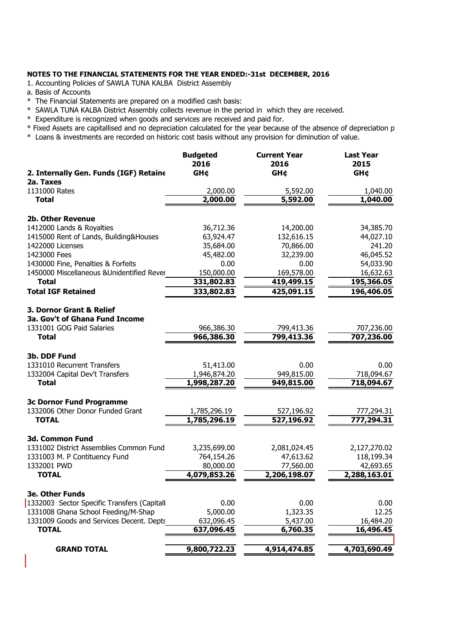#### **NOTES TO THE FINANCIAL STATEMENTS FOR THE YEAR ENDED:-31st DECEMBER, 2016**

1. Accounting Policies of SAWLA TUNA KALBA District Assembly

a. Basis of Accounts

- \* The Financial Statements are prepared on a modified cash basis:
- \* SAWLA TUNA KALBA District Assembly collects revenue in the period in which they are received.
- \* Expenditure is recognized when goods and services are received and paid for.
- \* Fixed Assets are capitallised and no depreciation calculated for the year because of the absence of depreciation p
- \* Loans & investments are recorded on historic cost basis without any provision for diminution of value.

| <b>GH¢</b>   | <b>GH¢</b>                                                                                                                                                                                                                                | <b>GH¢</b>                                                                                                                                                                                                                  |
|--------------|-------------------------------------------------------------------------------------------------------------------------------------------------------------------------------------------------------------------------------------------|-----------------------------------------------------------------------------------------------------------------------------------------------------------------------------------------------------------------------------|
|              |                                                                                                                                                                                                                                           |                                                                                                                                                                                                                             |
| 2,000.00     | 5,592.00                                                                                                                                                                                                                                  | 1,040.00                                                                                                                                                                                                                    |
| 2,000.00     | 5,592.00                                                                                                                                                                                                                                  | 1,040.00                                                                                                                                                                                                                    |
|              |                                                                                                                                                                                                                                           |                                                                                                                                                                                                                             |
| 36,712.36    | 14,200.00                                                                                                                                                                                                                                 | 34,385.70                                                                                                                                                                                                                   |
| 63,924.47    | 132,616.15                                                                                                                                                                                                                                | 44,027.10                                                                                                                                                                                                                   |
| 35,684.00    | 70,866.00                                                                                                                                                                                                                                 | 241.20                                                                                                                                                                                                                      |
|              |                                                                                                                                                                                                                                           | 46,045.52                                                                                                                                                                                                                   |
|              |                                                                                                                                                                                                                                           | 54,033.90                                                                                                                                                                                                                   |
|              |                                                                                                                                                                                                                                           | 16,632.63                                                                                                                                                                                                                   |
|              |                                                                                                                                                                                                                                           | 195,366.05                                                                                                                                                                                                                  |
|              |                                                                                                                                                                                                                                           | 196,406.05                                                                                                                                                                                                                  |
|              |                                                                                                                                                                                                                                           |                                                                                                                                                                                                                             |
|              |                                                                                                                                                                                                                                           |                                                                                                                                                                                                                             |
|              |                                                                                                                                                                                                                                           | 707,236.00                                                                                                                                                                                                                  |
|              |                                                                                                                                                                                                                                           | 707,236.00                                                                                                                                                                                                                  |
|              |                                                                                                                                                                                                                                           |                                                                                                                                                                                                                             |
|              |                                                                                                                                                                                                                                           | 0.00                                                                                                                                                                                                                        |
|              |                                                                                                                                                                                                                                           | 718,094.67                                                                                                                                                                                                                  |
|              |                                                                                                                                                                                                                                           | 718,094.67                                                                                                                                                                                                                  |
|              |                                                                                                                                                                                                                                           |                                                                                                                                                                                                                             |
| 1,785,296.19 | 527,196.92                                                                                                                                                                                                                                | 777,294.31                                                                                                                                                                                                                  |
|              |                                                                                                                                                                                                                                           | 777,294.31                                                                                                                                                                                                                  |
|              |                                                                                                                                                                                                                                           |                                                                                                                                                                                                                             |
| 3,235,699.00 | 2,081,024.45                                                                                                                                                                                                                              | 2,127,270.02                                                                                                                                                                                                                |
|              |                                                                                                                                                                                                                                           | 118,199.34                                                                                                                                                                                                                  |
|              |                                                                                                                                                                                                                                           | 42,693.65                                                                                                                                                                                                                   |
|              |                                                                                                                                                                                                                                           | 2,288,163.01                                                                                                                                                                                                                |
|              |                                                                                                                                                                                                                                           |                                                                                                                                                                                                                             |
| 0.00         | 0.00                                                                                                                                                                                                                                      | 0.00                                                                                                                                                                                                                        |
|              |                                                                                                                                                                                                                                           | 12.25                                                                                                                                                                                                                       |
| 632,096.45   | 5,437.00                                                                                                                                                                                                                                  | 16,484.20                                                                                                                                                                                                                   |
|              |                                                                                                                                                                                                                                           | 16,496.45                                                                                                                                                                                                                   |
|              |                                                                                                                                                                                                                                           | 4,703,690.49                                                                                                                                                                                                                |
|              | 45,482.00<br>0.00<br>150,000.00<br>331,802.83<br>333,802.83<br>966,386.30<br>966,386.30<br>51,413.00<br>1,946,874.20<br>1,998,287.20<br>1,785,296.19<br>764,154.26<br>80,000.00<br>4,079,853.26<br>5,000.00<br>637,096.45<br>9,800,722.23 | 32,239.00<br>0.00<br>169,578.00<br>419,499.15<br>425,091.15<br>799,413.36<br>799,413.36<br>0.00<br>949,815.00<br>949,815.00<br>527,196.92<br>47,613.62<br>77,560.00<br>2,206,198.07<br>1,323.35<br>6,760.35<br>4,914,474.85 |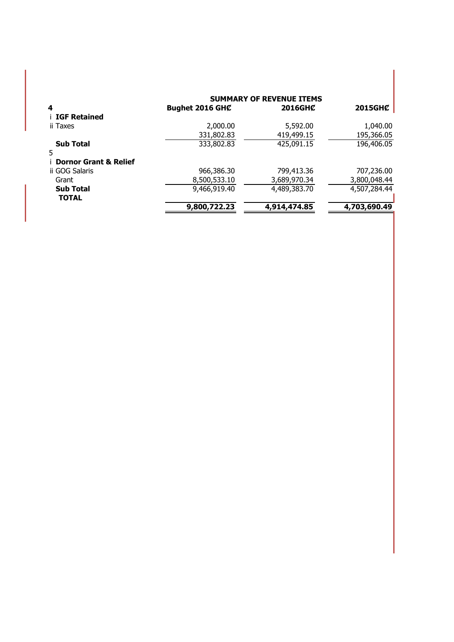|                                  | <b>SUMMARY OF REVENUE ITEMS</b> |              |              |
|----------------------------------|---------------------------------|--------------|--------------|
| 4                                | Bughet 2016 GHC                 | 2016GHC      | 2015GHC      |
| <b>IGF Retained</b>              |                                 |              |              |
| ii Taxes                         | 2,000.00                        | 5,592.00     | 1,040.00     |
|                                  | 331,802.83                      | 419,499.15   | 195,366.05   |
| <b>Sub Total</b>                 | 333,802.83                      | 425,091.15   | 196,406.05   |
| 5                                |                                 |              |              |
| <b>Dornor Grant &amp; Relief</b> |                                 |              |              |
| ii GOG Salaris                   | 966,386.30                      | 799,413.36   | 707,236.00   |
| Grant                            | 8,500,533.10                    | 3,689,970.34 | 3,800,048.44 |
| <b>Sub Total</b>                 | 9,466,919.40                    | 4,489,383.70 | 4,507,284.44 |
| <b>TOTAL</b>                     |                                 |              |              |
|                                  | 9,800,722.23                    | 4,914,474.85 | 4,703,690.49 |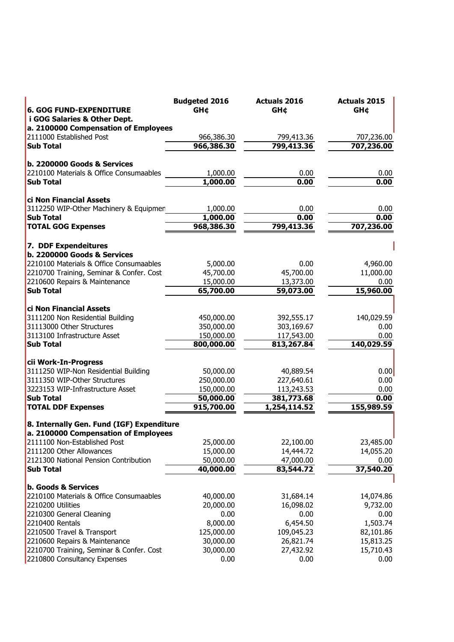| <b>6. GOG FUND-EXPENDITURE</b>                            | <b>Budgeted 2016</b><br><b>GH¢</b> | <b>Actuals 2016</b><br><b>GH¢</b> | <b>Actuals 2015</b><br><b>GH¢</b> |
|-----------------------------------------------------------|------------------------------------|-----------------------------------|-----------------------------------|
| i GOG Salaries & Other Dept.                              |                                    |                                   |                                   |
| a. 2100000 Compensation of Employees                      |                                    |                                   |                                   |
| 2111000 Established Post                                  | 966,386.30                         | 799,413.36                        | 707,236.00                        |
| <b>Sub Total</b>                                          | 966,386.30                         | 799,413.36                        | 707,236.00                        |
| b. 2200000 Goods & Services                               |                                    |                                   |                                   |
| 2210100 Materials & Office Consumaables                   | 1,000.00                           | 0.00                              | 0.00                              |
| <b>Sub Total</b>                                          | 1,000.00                           | 0.00                              | 0.00                              |
| ci Non Financial Assets                                   |                                    |                                   |                                   |
| 3112250 WIP-Other Machinery & Equipmen                    | 1,000.00                           | 0.00                              | 0.00                              |
| <b>Sub Total</b>                                          | 1,000.00                           | 0.00                              | 0.00                              |
| <b>TOTAL GOG Expenses</b>                                 | 968,386.30                         | 799,413.36                        | 707,236.00                        |
|                                                           |                                    |                                   |                                   |
| 7. DDF Expendeitures<br>b. 2200000 Goods & Services       |                                    |                                   |                                   |
| 2210100 Materials & Office Consumaables                   | 5,000.00                           | 0.00                              | 4,960.00                          |
| 2210700 Training, Seminar & Confer. Cost                  | 45,700.00                          | 45,700.00                         | 11,000.00                         |
| 2210600 Repairs & Maintenance                             | 15,000.00                          | 13,373.00                         | 0.00                              |
| <b>Sub Total</b>                                          | 65,700.00                          | 59,073.00                         | 15,960.00                         |
|                                                           |                                    |                                   |                                   |
| ci Non Financial Assets                                   |                                    |                                   |                                   |
| 3111200 Non Residential Building                          | 450,000.00                         | 392,555.17                        | 140,029.59                        |
| 31113000 Other Structures<br>3113100 Infrastructure Asset | 350,000.00                         | 303,169.67                        | 0.00                              |
| <b>Sub Total</b>                                          | 150,000.00<br>800,000.00           | 117,543.00<br>813,267.84          | 0.00<br>140,029.59                |
|                                                           |                                    |                                   |                                   |
| cii Work-In-Progress                                      |                                    |                                   |                                   |
| 3111250 WIP-Non Residential Building                      | 50,000.00                          | 40,889.54                         | 0.00                              |
| 3111350 WIP-Other Structures                              | 250,000.00                         | 227,640.61                        | 0.00                              |
| 3223153 WIP-Infrastructure Asset                          | 150,000.00                         | 113,243.53                        | 0.00                              |
| <b>Sub Total</b>                                          | 50,000.00                          | 381,773.68                        | 0.00                              |
| <b>TOTAL DDF Expenses</b>                                 | 915,700.00                         | 1,254,114.52                      | 155,989.59                        |
| 8. Internally Gen. Fund (IGF) Expenditure                 |                                    |                                   |                                   |
| a. 2100000 Compensation of Employees                      |                                    |                                   |                                   |
| 2111100 Non-Established Post                              | 25,000.00                          | 22,100.00                         | 23,485.00                         |
| 2111200 Other Allowances                                  | 15,000.00                          | 14,444.72                         | 14,055.20                         |
| 2121300 National Pension Contribution                     | 50,000.00                          | 47,000.00                         | 0.00                              |
| <b>Sub Total</b>                                          | 40,000.00                          | 83,544.72                         | 37,540.20                         |
| <b>b. Goods &amp; Services</b>                            |                                    |                                   |                                   |
| 2210100 Materials & Office Consumaables                   | 40,000.00                          | 31,684.14                         | 14,074.86                         |
| 2210200 Utilities                                         | 20,000.00                          | 16,098.02                         | 9,732.00                          |
| 2210300 General Cleaning                                  | 0.00                               | 0.00                              | 0.00                              |
| 2210400 Rentals                                           | 8,000.00                           | 6,454.50                          | 1,503.74                          |
| 2210500 Travel & Transport                                | 125,000.00                         | 109,045.23                        | 82,101.86                         |
| 2210600 Repairs & Maintenance                             | 30,000.00                          | 26,821.74                         | 15,813.25                         |
| 2210700 Training, Seminar & Confer. Cost                  | 30,000.00                          | 27,432.92                         | 15,710.43                         |
| 2210800 Consultancy Expenses                              | 0.00                               | 0.00                              | 0.00                              |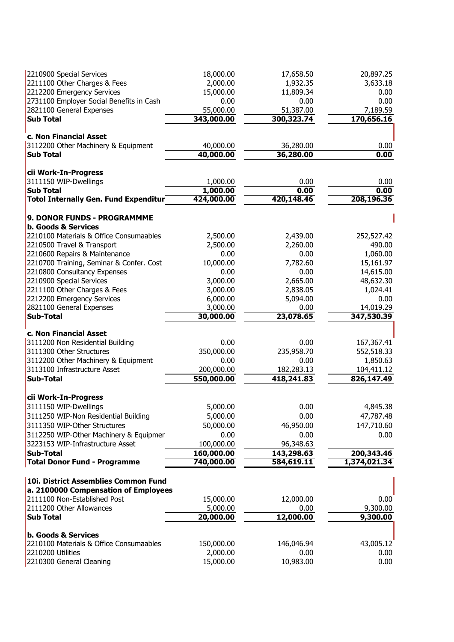| 2210900 Special Services                                                  | 18,000.00                | 17,658.50                | 20,897.25                |
|---------------------------------------------------------------------------|--------------------------|--------------------------|--------------------------|
| 2211100 Other Charges & Fees                                              | 2,000.00                 | 1,932.35                 | 3,633.18                 |
| 2212200 Emergency Services                                                | 15,000.00                | 11,809.34                | 0.00                     |
| 2731100 Employer Social Benefits in Cash                                  | 0.00                     | 0.00                     | 0.00                     |
| 2821100 General Expenses                                                  | 55,000.00                | 51,387.00                | 7,189.59                 |
| <b>Sub Total</b>                                                          | 343,000.00               | 300,323.74               | 170,656.16               |
| c. Non Financial Asset                                                    |                          |                          |                          |
| 3112200 Other Machinery & Equipment                                       | 40,000.00                | 36,280.00                | 0.00                     |
| <b>Sub Total</b>                                                          | 40,000.00                | 36,280.00                | 0.00                     |
|                                                                           |                          |                          |                          |
| cii Work-In-Progress<br>3111150 WIP-Dwellings                             |                          | 0.00                     | 0.00                     |
| <b>Sub Total</b>                                                          | 1,000.00<br>1,000.00     | 0.00                     | 0.00                     |
| <b>Totol Internally Gen. Fund Expenditur</b>                              | 424,000.00               | 420,148.46               | 208,196.36               |
|                                                                           |                          |                          |                          |
| 9. DONOR FUNDS - PROGRAMMME                                               |                          |                          |                          |
| <b>b. Goods &amp; Services</b><br>2210100 Materials & Office Consumaables | 2,500.00                 | 2,439.00                 | 252,527.42               |
| 2210500 Travel & Transport                                                | 2,500.00                 | 2,260.00                 | 490.00                   |
| 2210600 Repairs & Maintenance                                             | 0.00                     | 0.00                     | 1,060.00                 |
| 2210700 Training, Seminar & Confer. Cost                                  | 10,000.00                | 7,782.60                 | 15,161.97                |
| 2210800 Consultancy Expenses                                              | 0.00                     | 0.00                     | 14,615.00                |
| 2210900 Special Services                                                  | 3,000.00                 | 2,665.00                 | 48,632.30                |
| 2211100 Other Charges & Fees                                              | 3,000.00                 | 2,838.05                 | 1,024.41                 |
| 2212200 Emergency Services                                                | 6,000.00                 | 5,094.00                 | 0.00                     |
| 2821100 General Expenses                                                  | 3,000.00                 | 0.00                     | 14,019.29                |
| <b>Sub-Total</b>                                                          | 30,000.00                | 23,078.65                | 347,530.39               |
|                                                                           |                          |                          |                          |
| c. Non Financial Asset                                                    | 0.00                     |                          |                          |
| 3111200 Non Residential Building                                          |                          | 0.00                     | 167,367.41               |
| 3111300 Other Structures                                                  | 350,000.00               | 235,958.70               | 552,518.33               |
| 3112200 Other Machinery & Equipment<br>3113100 Infrastructure Asset       | 0.00                     | 0.00                     | 1,850.63                 |
| <b>Sub-Total</b>                                                          | 200,000.00<br>550,000.00 | 182,283.13<br>418,241.83 | 104,411.12<br>826,147.49 |
|                                                                           |                          |                          |                          |
| cii Work-In-Progress                                                      |                          |                          |                          |
| 3111150 WIP-Dwellings                                                     | 5,000.00                 | 0.00                     | 4,845.38                 |
| 3111250 WIP-Non Residential Building                                      | 5,000.00                 | 0.00                     | 47,787.48                |
| 3111350 WIP-Other Structures                                              | 50,000.00                | 46,950.00                | 147,710.60               |
| 3112250 WIP-Other Machinery & Equipmen                                    | 0.00                     | 0.00                     | 0.00                     |
| 3223153 WIP-Infrastructure Asset                                          | 100,000.00               | 96,348.63                |                          |
| <b>Sub-Total</b>                                                          | 160,000.00               | 143,298.63               | 200,343.46               |
| <b>Total Donor Fund - Programme</b>                                       | 740,000.00               | 584,619.11               | 1,374,021.34             |
| 10i. District Assemblies Common Fund                                      |                          |                          |                          |
| a. 2100000 Compensation of Employees                                      |                          |                          |                          |
| 2111100 Non-Established Post                                              | 15,000.00                | 12,000.00                | 0.00                     |
| 2111200 Other Allowances                                                  | 5,000.00                 | 0.00                     | 9,300.00                 |
| <b>Sub Total</b>                                                          | 20,000.00                | 12,000.00                | 9,300.00                 |
| <b>b. Goods &amp; Services</b>                                            |                          |                          |                          |
| 2210100 Materials & Office Consumaables                                   | 150,000.00               | 146,046.94               | 43,005.12                |
| 2210200 Utilities                                                         | 2,000.00                 | 0.00                     | 0.00                     |
| 2210300 General Cleaning                                                  | 15,000.00                | 10,983.00                | 0.00                     |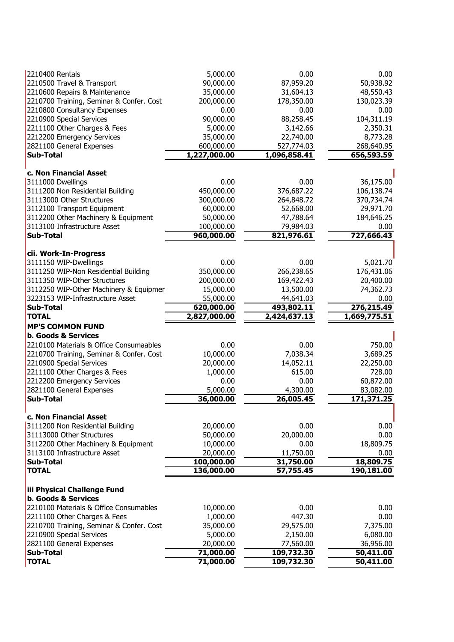| 2210400 Rentals                                            | 5,000.00                | 0.00                    | 0.00                   |
|------------------------------------------------------------|-------------------------|-------------------------|------------------------|
| 2210500 Travel & Transport                                 | 90,000.00               | 87,959.20               | 50,938.92              |
| 2210600 Repairs & Maintenance                              | 35,000.00               | 31,604.13               | 48,550.43              |
| 2210700 Training, Seminar & Confer. Cost                   | 200,000.00              | 178,350.00              | 130,023.39             |
| 2210800 Consultancy Expenses                               | 0.00                    | 0.00                    | 0.00                   |
| 2210900 Special Services                                   | 90,000.00               | 88,258.45               | 104,311.19             |
| 2211100 Other Charges & Fees                               | 5,000.00                | 3,142.66                | 2,350.31               |
| 2212200 Emergency Services                                 | 35,000.00               | 22,740.00               | 8,773.28               |
| 2821100 General Expenses                                   | 600,000.00              | 527,774.03              | 268,640.95             |
| <b>Sub-Total</b>                                           | 1,227,000.00            | 1,096,858.41            | 656,593.59             |
| c. Non Financial Asset                                     |                         |                         |                        |
| 3111000 Dwellings                                          | 0.00                    | 0.00                    | 36,175.00              |
| 3111200 Non Residential Building                           | 450,000.00              | 376,687.22              | 106,138.74             |
| 31113000 Other Structures                                  | 300,000.00              | 264,848.72              | 370,734.74             |
| 3112100 Transport Equipment                                | 60,000.00               | 52,668.00               | 29,971.70              |
| 3112200 Other Machinery & Equipment                        | 50,000.00               | 47,788.64               | 184,646.25             |
| 3113100 Infrastructure Asset                               | 100,000.00              | 79,984.03               | 0.00                   |
| <b>Sub-Total</b>                                           | 960,000.00              | 821,976.61              | 727,666.43             |
|                                                            |                         |                         |                        |
| cii. Work-In-Progress                                      |                         |                         |                        |
| 3111150 WIP-Dwellings                                      | 0.00                    | 0.00                    | 5,021.70               |
| 3111250 WIP-Non Residential Building                       | 350,000.00              | 266,238.65              | 176,431.06             |
| 3111350 WIP-Other Structures                               | 200,000.00              | 169,422.43              | 20,400.00              |
| 3112250 WIP-Other Machinery & Equipmen                     | 15,000.00               | 13,500.00               | 74,362.73              |
| 3223153 WIP-Infrastructure Asset<br><b>Sub-Total</b>       | 55,000.00<br>620,000.00 | 44,641.03<br>493,802.11 | 0.00<br>276,215.49     |
| <b>TOTAL</b>                                               | 2,827,000.00            | 2,424,637.13            | 1,669,775.51           |
| <b>MP'S COMMON FUND</b>                                    |                         |                         |                        |
| <b>b. Goods &amp; Services</b>                             |                         |                         |                        |
| 2210100 Materials & Office Consumaables                    | 0.00                    | 0.00                    | 750.00                 |
| 2210700 Training, Seminar & Confer. Cost                   | 10,000.00               | 7,038.34                | 3,689.25               |
| 2210900 Special Services                                   | 20,000.00               | 14,052.11               | 22,250.00              |
| 2211100 Other Charges & Fees                               | 1,000.00                | 615.00                  | 728.00                 |
| 2212200 Emergency Services                                 | 0.00                    | 0.00                    | 60,872.00              |
| 2821100 General Expenses                                   | 5,000.00                | 4,300.00                | 83,082.00              |
| <b>Sub-Total</b>                                           | 36,000.00               | 26,005.45               | 171,371.25             |
|                                                            |                         |                         |                        |
| c. Non Financial Asset<br>3111200 Non Residential Building | 20,000.00               | 0.00                    | 0.00                   |
| 31113000 Other Structures                                  | 50,000.00               | 20,000.00               | 0.00                   |
| 3112200 Other Machinery & Equipment                        | 10,000.00               | 0.00                    | 18,809.75              |
| 3113100 Infrastructure Asset                               | 20,000.00               | 11,750.00               | 0.00                   |
| <b>Sub-Total</b>                                           | 100,000.00              | 31,750.00               | 18,809.75              |
| <b>TOTAL</b>                                               | 136,000.00              | 57,755.45               | 190,181.00             |
|                                                            |                         |                         |                        |
| iii Physical Challenge Fund                                |                         |                         |                        |
| <b>b. Goods &amp; Services</b>                             |                         |                         |                        |
| 2210100 Materials & Office Consumables                     | 10,000.00               | 0.00                    | 0.00                   |
| 2211100 Other Charges & Fees                               | 1,000.00                | 447.30                  | 0.00                   |
| 2210700 Training, Seminar & Confer. Cost                   | 35,000.00               | 29,575.00               | 7,375.00               |
| 2210900 Special Services<br>2821100 General Expenses       | 5,000.00<br>20,000.00   | 2,150.00                | 6,080.00               |
| <b>Sub-Total</b>                                           | 71,000.00               | 77,560.00<br>109,732.30 | 36,956.00<br>50,411.00 |
| <b>TOTAL</b>                                               | 71,000.00               | 109,732.30              | 50,411.00              |
|                                                            |                         |                         |                        |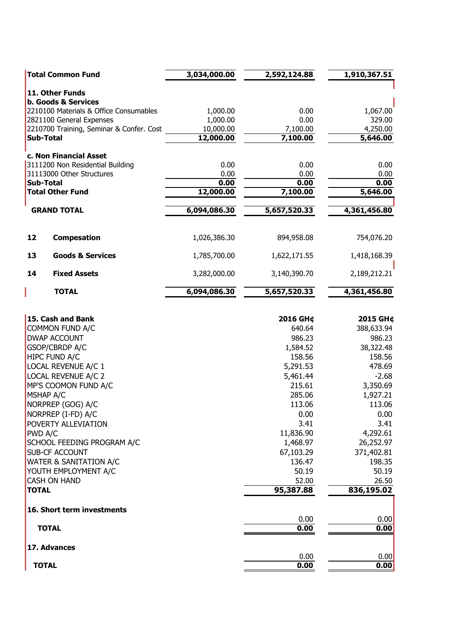|                | <b>Total Common Fund</b>                    | 3,034,000.00      | 2,592,124.88        | 1,910,367.51        |
|----------------|---------------------------------------------|-------------------|---------------------|---------------------|
|                | 11. Other Funds                             |                   |                     |                     |
|                | <b>b. Goods &amp; Services</b>              |                   |                     |                     |
|                | 2210100 Materials & Office Consumables      | 1,000.00          | 0.00                | 1,067.00            |
|                | 2821100 General Expenses                    | 1,000.00          | 0.00                | 329.00              |
|                | 2210700 Training, Seminar & Confer. Cost    | 10,000.00         | 7,100.00            | 4,250.00            |
|                | <b>Sub-Total</b>                            | 12,000.00         | 7,100.00            | 5,646.00            |
|                | c. Non Financial Asset                      |                   |                     |                     |
|                | 3111200 Non Residential Building            | 0.00              | 0.00                | 0.00                |
|                | 31113000 Other Structures                   | 0.00              | 0.00                | 0.00                |
|                | <b>Sub-Total</b><br><b>Total Other Fund</b> | 0.00<br>12,000.00 | 0.00                | 0.00                |
|                |                                             |                   | 7,100.00            | 5,646.00            |
|                | <b>GRAND TOTAL</b>                          | 6,094,086.30      | 5,657,520.33        | 4,361,456.80        |
|                |                                             |                   |                     |                     |
| 12             | <b>Compesation</b>                          | 1,026,386.30      | 894,958.08          | 754,076.20          |
| 13             | <b>Goods &amp; Services</b>                 | 1,785,700.00      | 1,622,171.55        | 1,418,168.39        |
| 14             | <b>Fixed Assets</b>                         | 3,282,000.00      | 3,140,390.70        | 2,189,212.21        |
|                | <b>TOTAL</b>                                | 6,094,086.30      | 5,657,520.33        | 4,361,456.80        |
|                |                                             |                   |                     |                     |
|                | 15. Cash and Bank                           |                   | 2016 GH¢            | 2015 GH¢            |
|                | <b>COMMON FUND A/C</b>                      |                   | 640.64              | 388,633.94          |
|                | <b>DWAP ACCOUNT</b>                         |                   | 986.23              | 986.23              |
|                | GSOP/CBRDP A/C                              |                   | 1,584.52            | 38,322.48           |
|                | <b>HIPC FUND A/C</b>                        |                   | 158.56              | 158.56              |
|                | LOCAL REVENUE A/C 1                         |                   | 5,291.53            | 478.69              |
|                | <b>LOCAL REVENUE A/C 2</b>                  |                   | 5,461.44            | $-2.68$             |
|                | MP'S COOMON FUND A/C                        |                   | 215.61              | 3,350.69            |
|                | MSHAP A/C                                   |                   | 285.06              | 1,927.21            |
|                | NORPREP (GOG) A/C                           |                   | 113.06              | 113.06              |
|                | NORPREP (I-FD) A/C                          |                   | 0.00                | 0.00                |
|                | POVERTY ALLEVIATION                         |                   | 3.41                | 3.41                |
| <b>PWD A/C</b> |                                             |                   | 11,836.90           | 4,292.61            |
|                | SCHOOL FEEDING PROGRAM A/C                  |                   | 1,468.97            | 26,252.97           |
|                | <b>SUB-CF ACCOUNT</b>                       |                   | 67,103.29<br>136.47 | 371,402.81          |
|                | <b>WATER &amp; SANITATION A/C</b>           |                   | 50.19               | 198.35              |
|                | YOUTH EMPLOYMENT A/C<br><b>CASH ON HAND</b> |                   |                     | 50.19               |
| <b>TOTAL</b>   |                                             |                   | 52.00<br>95,387.88  | 26.50<br>836,195.02 |
|                |                                             |                   |                     |                     |
|                | 16. Short term investments                  |                   | 0.00                | 0.00                |
|                | <b>TOTAL</b>                                |                   | 0.00                | 0.00                |
|                | 17. Advances                                |                   |                     |                     |
|                |                                             |                   | 0.00                | 0.00                |

 **TOTAL 0.00 0.00**